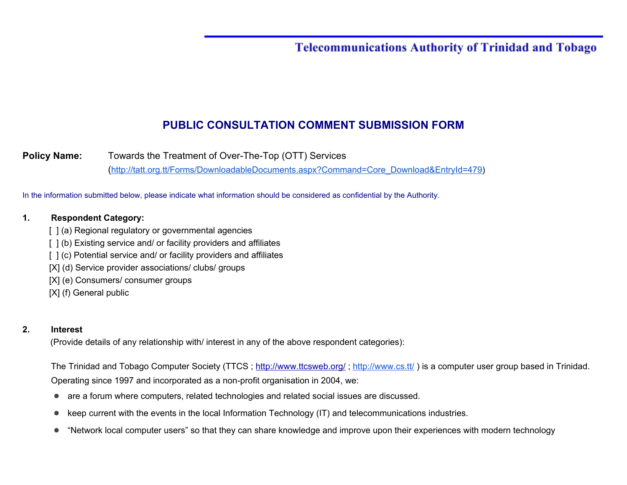#### **Telecommunications Authority of Trinidad and Tobago**

#### **PUBLIC CONSULTATION COMMENT SUBMISSION FORM**

**Policy Name:** Towards the Treatment of Over-The-Top (OTT) Services ([http://tatt.org.tt/Forms/DownloadableDocuments.aspx?Command=Core\\_Download&EntryId=479\)](http://tatt.org.tt/Forms/DownloadableDocuments.aspx?Command=Core_Download&EntryId=479)

In the information submitted below, please indicate what information should be considered as confidential by the Authority.

#### **1. Respondent Category:**

- [ ] (a) Regional regulatory or governmental agencies
- [ ] (b) Existing service and/ or facility providers and affiliates
- [ ] (c) Potential service and/ or facility providers and affiliates
- [X] (d) Service provider associations/ clubs/ groups
- [X] (e) Consumers/ consumer groups
- [X] (f) General public

#### **2. Interest**

(Provide details of any relationship with/ interest in any of the above respondent categories):

The Trinidad and Tobago Computer Society (TTCS; <http://www.ttcsweb.org/>; <http://www.cs.tt/>) is a computer user group based in Trinidad. Operating since 1997 and incorporated as a non-profit organisation in 2004, we:

- are a forum where computers, related technologies and related social issues are discussed.
- keep current with the events in the local Information Technology (IT) and telecommunications industries.
- "Network local computer users" so that they can share knowledge and improve upon their experiences with modern technology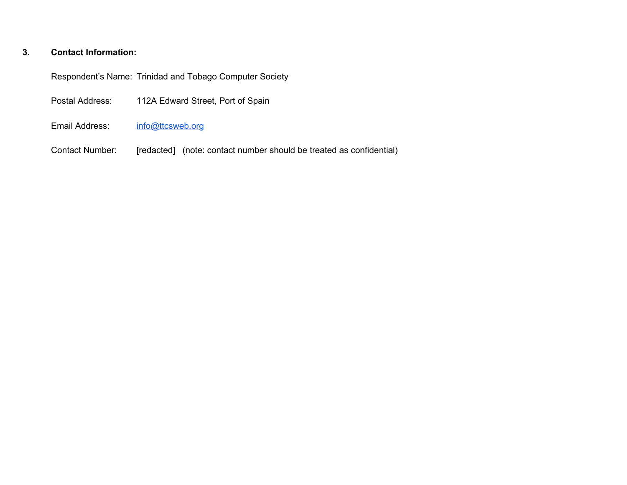#### **3. Contact Information:**

Respondent's Name: Trinidad and Tobago Computer Society

| Postal Address: | 112A Edward Street, Port of Spain |
|-----------------|-----------------------------------|
|-----------------|-----------------------------------|

- Email Address: [info@ttcsweb.org](mailto:info@ttcsweb.org)
- Contact Number: [redacted] (note: contact number should be treated as confidential)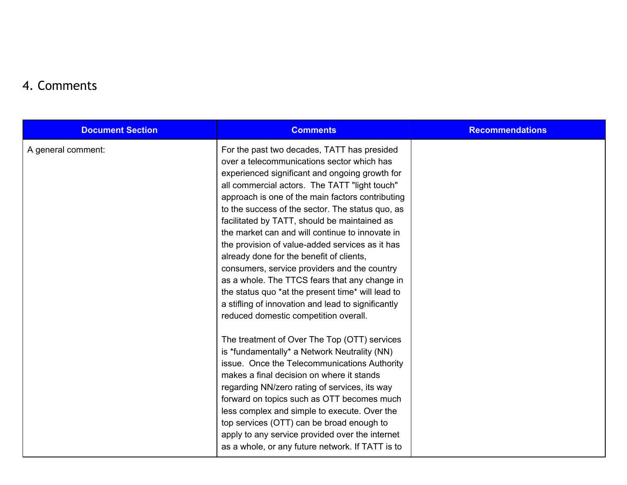#### 4. Comments

| <b>Document Section</b> | <b>Comments</b>                                                                                                                                                                                                                                                                                                                                                                                                                                                                                                                                                                                                                                                                                                                                             | <b>Recommendations</b> |
|-------------------------|-------------------------------------------------------------------------------------------------------------------------------------------------------------------------------------------------------------------------------------------------------------------------------------------------------------------------------------------------------------------------------------------------------------------------------------------------------------------------------------------------------------------------------------------------------------------------------------------------------------------------------------------------------------------------------------------------------------------------------------------------------------|------------------------|
| A general comment:      | For the past two decades, TATT has presided<br>over a telecommunications sector which has<br>experienced significant and ongoing growth for<br>all commercial actors. The TATT "light touch"<br>approach is one of the main factors contributing<br>to the success of the sector. The status quo, as<br>facilitated by TATT, should be maintained as<br>the market can and will continue to innovate in<br>the provision of value-added services as it has<br>already done for the benefit of clients,<br>consumers, service providers and the country<br>as a whole. The TTCS fears that any change in<br>the status quo *at the present time* will lead to<br>a stifling of innovation and lead to significantly<br>reduced domestic competition overall. |                        |
|                         | The treatment of Over The Top (OTT) services<br>is *fundamentally* a Network Neutrality (NN)<br>issue. Once the Telecommunications Authority<br>makes a final decision on where it stands<br>regarding NN/zero rating of services, its way<br>forward on topics such as OTT becomes much<br>less complex and simple to execute. Over the<br>top services (OTT) can be broad enough to<br>apply to any service provided over the internet<br>as a whole, or any future network. If TATT is to                                                                                                                                                                                                                                                                |                        |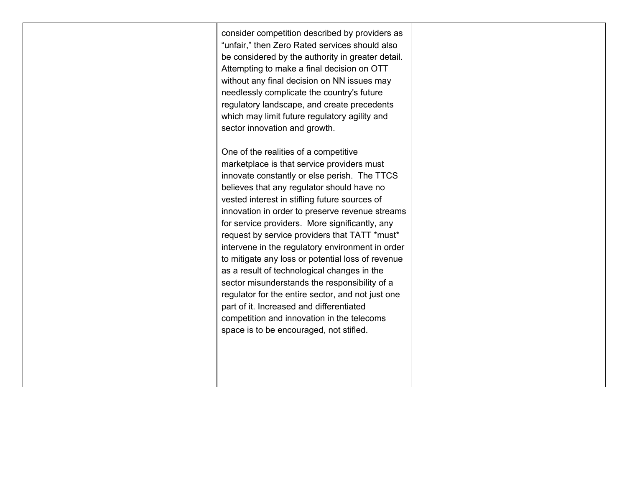| consider competition described by providers as<br>"unfair," then Zero Rated services should also<br>be considered by the authority in greater detail.<br>Attempting to make a final decision on OTT<br>without any final decision on NN issues may<br>needlessly complicate the country's future<br>regulatory landscape, and create precedents<br>which may limit future regulatory agility and<br>sector innovation and growth.                                                                                                                                                                                                                                                                                                                                                           |  |
|---------------------------------------------------------------------------------------------------------------------------------------------------------------------------------------------------------------------------------------------------------------------------------------------------------------------------------------------------------------------------------------------------------------------------------------------------------------------------------------------------------------------------------------------------------------------------------------------------------------------------------------------------------------------------------------------------------------------------------------------------------------------------------------------|--|
| One of the realities of a competitive<br>marketplace is that service providers must<br>innovate constantly or else perish. The TTCS<br>believes that any regulator should have no<br>vested interest in stifling future sources of<br>innovation in order to preserve revenue streams<br>for service providers. More significantly, any<br>request by service providers that TATT *must*<br>intervene in the regulatory environment in order<br>to mitigate any loss or potential loss of revenue<br>as a result of technological changes in the<br>sector misunderstands the responsibility of a<br>regulator for the entire sector, and not just one<br>part of it. Increased and differentiated<br>competition and innovation in the telecoms<br>space is to be encouraged, not stifled. |  |
|                                                                                                                                                                                                                                                                                                                                                                                                                                                                                                                                                                                                                                                                                                                                                                                             |  |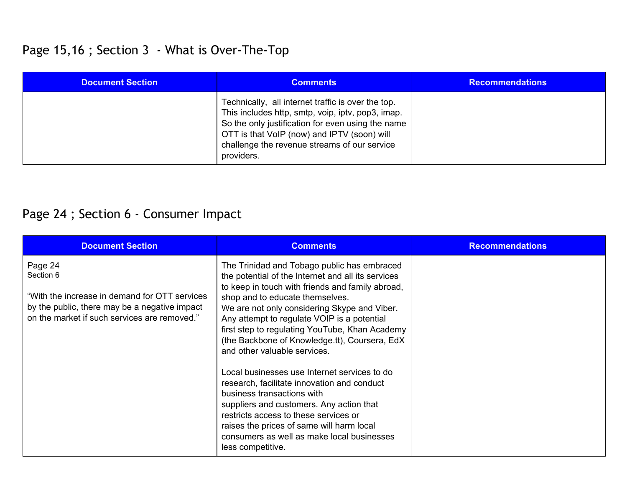### Page 15,16 ; Section 3 - What is Over-The-Top

| <b>Document Section</b> | <b>Comments</b>                                                                                                                                                                                                                                                           | <b>Recommendations</b> |
|-------------------------|---------------------------------------------------------------------------------------------------------------------------------------------------------------------------------------------------------------------------------------------------------------------------|------------------------|
|                         | Technically, all internet traffic is over the top.<br>This includes http, smtp, voip, iptv, pop3, imap.<br>So the only justification for even using the name<br>OTT is that VoIP (now) and IPTV (soon) will<br>challenge the revenue streams of our service<br>providers. |                        |

## Page 24 ; Section 6 - Consumer Impact

| <b>Document Section</b>                                                                                                                                                 | <b>Comments</b>                                                                                                                                                                                                                                                                                                                                                                                                                                                                                                                                                                                                                                                                                                                                              | <b>Recommendations</b> |
|-------------------------------------------------------------------------------------------------------------------------------------------------------------------------|--------------------------------------------------------------------------------------------------------------------------------------------------------------------------------------------------------------------------------------------------------------------------------------------------------------------------------------------------------------------------------------------------------------------------------------------------------------------------------------------------------------------------------------------------------------------------------------------------------------------------------------------------------------------------------------------------------------------------------------------------------------|------------------------|
| Page 24<br>Section 6<br>"With the increase in demand for OTT services"<br>by the public, there may be a negative impact<br>on the market if such services are removed." | The Trinidad and Tobago public has embraced<br>the potential of the Internet and all its services<br>to keep in touch with friends and family abroad,<br>shop and to educate themselves.<br>We are not only considering Skype and Viber.<br>Any attempt to regulate VOIP is a potential<br>first step to regulating YouTube, Khan Academy<br>(the Backbone of Knowledge.tt), Coursera, EdX<br>and other valuable services.<br>Local businesses use Internet services to do<br>research, facilitate innovation and conduct<br>business transactions with<br>suppliers and customers. Any action that<br>restricts access to these services or<br>raises the prices of same will harm local<br>consumers as well as make local businesses<br>less competitive. |                        |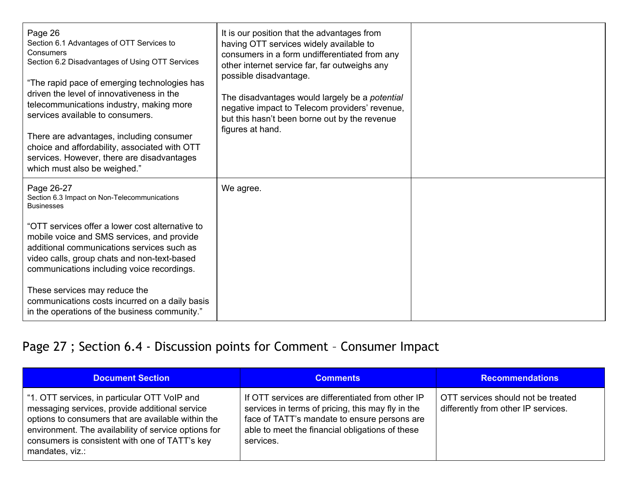| Page 26<br>Section 6.1 Advantages of OTT Services to<br>Consumers<br>Section 6.2 Disadvantages of Using OTT Services<br>"The rapid pace of emerging technologies has<br>driven the level of innovativeness in the<br>telecommunications industry, making more<br>services available to consumers.<br>There are advantages, including consumer<br>choice and affordability, associated with OTT<br>services. However, there are disadvantages<br>which must also be weighed." | It is our position that the advantages from<br>having OTT services widely available to<br>consumers in a form undifferentiated from any<br>other internet service far, far outweighs any<br>possible disadvantage.<br>The disadvantages would largely be a <i>potential</i><br>negative impact to Telecom providers' revenue,<br>but this hasn't been borne out by the revenue<br>figures at hand. |  |
|------------------------------------------------------------------------------------------------------------------------------------------------------------------------------------------------------------------------------------------------------------------------------------------------------------------------------------------------------------------------------------------------------------------------------------------------------------------------------|----------------------------------------------------------------------------------------------------------------------------------------------------------------------------------------------------------------------------------------------------------------------------------------------------------------------------------------------------------------------------------------------------|--|
| Page 26-27<br>Section 6.3 Impact on Non-Telecommunications<br><b>Businesses</b>                                                                                                                                                                                                                                                                                                                                                                                              | We agree.                                                                                                                                                                                                                                                                                                                                                                                          |  |
| "OTT services offer a lower cost alternative to<br>mobile voice and SMS services, and provide<br>additional communications services such as<br>video calls, group chats and non-text-based<br>communications including voice recordings.                                                                                                                                                                                                                                     |                                                                                                                                                                                                                                                                                                                                                                                                    |  |
| These services may reduce the<br>communications costs incurred on a daily basis<br>in the operations of the business community."                                                                                                                                                                                                                                                                                                                                             |                                                                                                                                                                                                                                                                                                                                                                                                    |  |

## Page 27 ; Section 6.4 - Discussion points for Comment - Consumer Impact

| Document Section                                                                                                                                                                                                                                                                  | <b>Comments</b>                                                                                                                                                                                                       | <b>Recommendations</b>                                                    |
|-----------------------------------------------------------------------------------------------------------------------------------------------------------------------------------------------------------------------------------------------------------------------------------|-----------------------------------------------------------------------------------------------------------------------------------------------------------------------------------------------------------------------|---------------------------------------------------------------------------|
| "1. OTT services, in particular OTT VoIP and<br>messaging services, provide additional service<br>options to consumers that are available within the<br>environment. The availability of service options for<br>consumers is consistent with one of TATT's key<br>mandates, viz.: | If OTT services are differentiated from other IP<br>services in terms of pricing, this may fly in the<br>face of TATT's mandate to ensure persons are<br>able to meet the financial obligations of these<br>services. | OTT services should not be treated<br>differently from other IP services. |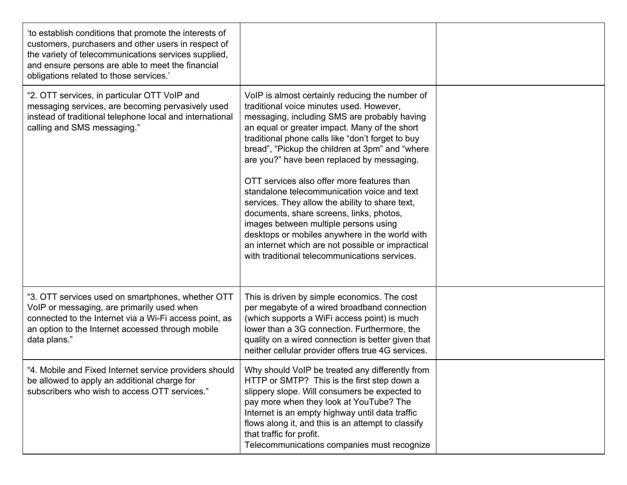| 'to establish conditions that promote the interests of<br>customers, purchasers and other users in respect of<br>the variety of telecommunications services supplied,<br>and ensure persons are able to meet the financial<br>obligations related to those services.' |                                                                                                                                                                                                                                                                                                                                                                                                                                                                                                                                                                                                                                                                                                                                                 |  |
|-----------------------------------------------------------------------------------------------------------------------------------------------------------------------------------------------------------------------------------------------------------------------|-------------------------------------------------------------------------------------------------------------------------------------------------------------------------------------------------------------------------------------------------------------------------------------------------------------------------------------------------------------------------------------------------------------------------------------------------------------------------------------------------------------------------------------------------------------------------------------------------------------------------------------------------------------------------------------------------------------------------------------------------|--|
| "2. OTT services, in particular OTT VoIP and<br>messaging services, are becoming pervasively used<br>instead of traditional telephone local and international<br>calling and SMS messaging."                                                                          | VoIP is almost certainly reducing the number of<br>traditional voice minutes used. However,<br>messaging, including SMS are probably having<br>an equal or greater impact. Many of the short<br>traditional phone calls like "don't forget to buy<br>bread", "Pickup the children at 3pm" and "where<br>are you?" have been replaced by messaging.<br>OTT services also offer more features than<br>standalone telecommunication voice and text<br>services. They allow the ability to share text,<br>documents, share screens, links, photos,<br>images between multiple persons using<br>desktops or mobiles anywhere in the world with<br>an internet which are not possible or impractical<br>with traditional telecommunications services. |  |
| "3. OTT services used on smartphones, whether OTT<br>VoIP or messaging, are primarily used when<br>connected to the Internet via a Wi-Fi access point, as<br>an option to the Internet accessed through mobile<br>data plans."                                        | This is driven by simple economics. The cost<br>per megabyte of a wired broadband connection<br>(which supports a WiFi access point) is much<br>lower than a 3G connection. Furthermore, the<br>quality on a wired connection is better given that<br>neither cellular provider offers true 4G services.                                                                                                                                                                                                                                                                                                                                                                                                                                        |  |
| "4. Mobile and Fixed Internet service providers should<br>be allowed to apply an additional charge for<br>subscribers who wish to access OTT services."                                                                                                               | Why should VoIP be treated any differently from<br>HTTP or SMTP? This is the first step down a<br>slippery slope. Will consumers be expected to<br>pay more when they look at YouTube? The<br>Internet is an empty highway until data traffic<br>flows along it, and this is an attempt to classify<br>that traffic for profit.<br>Telecommunications companies must recognize                                                                                                                                                                                                                                                                                                                                                                  |  |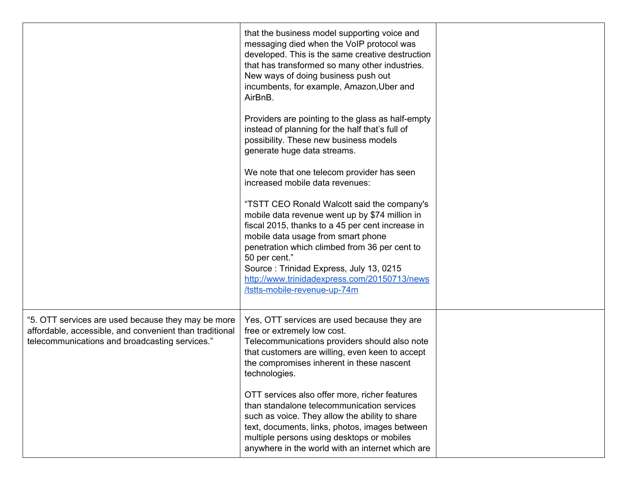|                                                                                                                                                                 | that the business model supporting voice and<br>messaging died when the VoIP protocol was<br>developed. This is the same creative destruction<br>that has transformed so many other industries.<br>New ways of doing business push out<br>incumbents, for example, Amazon, Uber and<br>AirBnB.<br>Providers are pointing to the glass as half-empty<br>instead of planning for the half that's full of<br>possibility. These new business models<br>generate huge data streams.<br>We note that one telecom provider has seen<br>increased mobile data revenues:<br>"TSTT CEO Ronald Walcott said the company's<br>mobile data revenue went up by \$74 million in<br>fiscal 2015, thanks to a 45 per cent increase in<br>mobile data usage from smart phone<br>penetration which climbed from 36 per cent to<br>50 per cent."<br>Source: Trinidad Express, July 13, 0215<br>http://www.trinidadexpress.com/20150713/news<br>/tstts-mobile-revenue-up-74m |  |
|-----------------------------------------------------------------------------------------------------------------------------------------------------------------|----------------------------------------------------------------------------------------------------------------------------------------------------------------------------------------------------------------------------------------------------------------------------------------------------------------------------------------------------------------------------------------------------------------------------------------------------------------------------------------------------------------------------------------------------------------------------------------------------------------------------------------------------------------------------------------------------------------------------------------------------------------------------------------------------------------------------------------------------------------------------------------------------------------------------------------------------------|--|
| "5. OTT services are used because they may be more<br>affordable, accessible, and convenient than traditional<br>telecommunications and broadcasting services." | Yes, OTT services are used because they are<br>free or extremely low cost.<br>Telecommunications providers should also note<br>that customers are willing, even keen to accept<br>the compromises inherent in these nascent<br>technologies.<br>OTT services also offer more, richer features<br>than standalone telecommunication services<br>such as voice. They allow the ability to share<br>text, documents, links, photos, images between<br>multiple persons using desktops or mobiles<br>anywhere in the world with an internet which are                                                                                                                                                                                                                                                                                                                                                                                                        |  |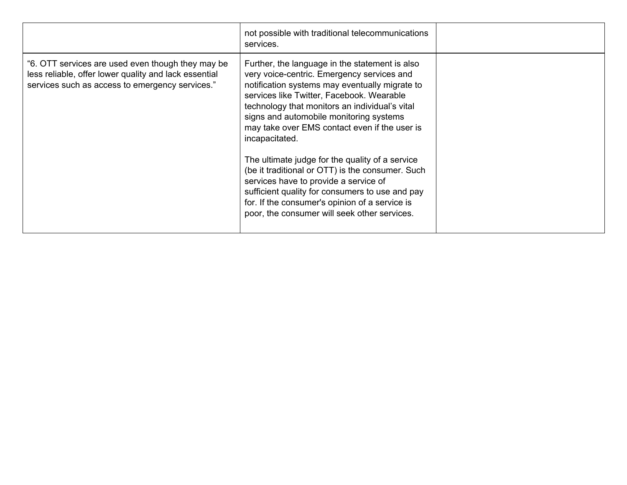|                                                                                                                                                               | not possible with traditional telecommunications<br>services.                                                                                                                                                                                                                                                                                                                                                                                                                                                                                                                                                                                                    |  |
|---------------------------------------------------------------------------------------------------------------------------------------------------------------|------------------------------------------------------------------------------------------------------------------------------------------------------------------------------------------------------------------------------------------------------------------------------------------------------------------------------------------------------------------------------------------------------------------------------------------------------------------------------------------------------------------------------------------------------------------------------------------------------------------------------------------------------------------|--|
| "6. OTT services are used even though they may be<br>less reliable, offer lower quality and lack essential<br>services such as access to emergency services." | Further, the language in the statement is also<br>very voice-centric. Emergency services and<br>notification systems may eventually migrate to<br>services like Twitter, Facebook. Wearable<br>technology that monitors an individual's vital<br>signs and automobile monitoring systems<br>may take over EMS contact even if the user is<br>incapacitated.<br>The ultimate judge for the quality of a service<br>(be it traditional or OTT) is the consumer. Such<br>services have to provide a service of<br>sufficient quality for consumers to use and pay<br>for. If the consumer's opinion of a service is<br>poor, the consumer will seek other services. |  |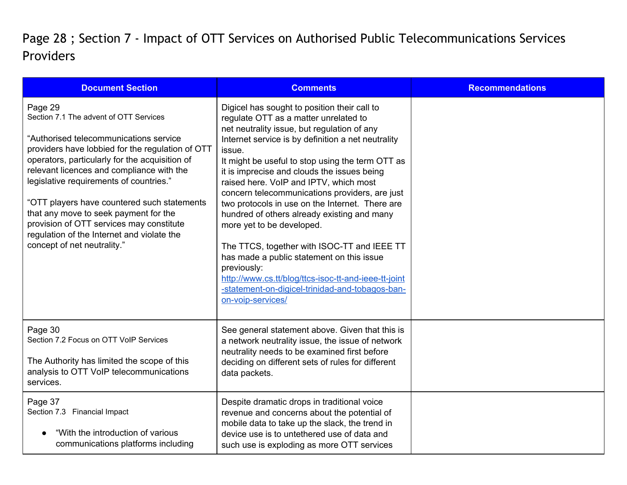## Page 28 ; Section 7 - Impact of OTT Services on Authorised Public Telecommunications Services Providers

| <b>Document Section</b>                                                                                                                                                                                                                                                                                                                                                                                                                                                                                    | <b>Comments</b>                                                                                                                                                                                                                                                                                                                                                                                                                                                                                                                                                                                                                                                                                                                                                               | <b>Recommendations</b> |
|------------------------------------------------------------------------------------------------------------------------------------------------------------------------------------------------------------------------------------------------------------------------------------------------------------------------------------------------------------------------------------------------------------------------------------------------------------------------------------------------------------|-------------------------------------------------------------------------------------------------------------------------------------------------------------------------------------------------------------------------------------------------------------------------------------------------------------------------------------------------------------------------------------------------------------------------------------------------------------------------------------------------------------------------------------------------------------------------------------------------------------------------------------------------------------------------------------------------------------------------------------------------------------------------------|------------------------|
| Page 29<br>Section 7.1 The advent of OTT Services<br>"Authorised telecommunications service<br>providers have lobbied for the regulation of OTT<br>operators, particularly for the acquisition of<br>relevant licences and compliance with the<br>legislative requirements of countries."<br>"OTT players have countered such statements<br>that any move to seek payment for the<br>provision of OTT services may constitute<br>regulation of the Internet and violate the<br>concept of net neutrality." | Digicel has sought to position their call to<br>regulate OTT as a matter unrelated to<br>net neutrality issue, but regulation of any<br>Internet service is by definition a net neutrality<br>issue.<br>It might be useful to stop using the term OTT as<br>it is imprecise and clouds the issues being<br>raised here. VoIP and IPTV, which most<br>concern telecommunications providers, are just<br>two protocols in use on the Internet. There are<br>hundred of others already existing and many<br>more yet to be developed.<br>The TTCS, together with ISOC-TT and IEEE TT<br>has made a public statement on this issue<br>previously:<br>http://www.cs.tt/blog/ttcs-isoc-tt-and-ieee-tt-joint<br>-statement-on-digicel-trinidad-and-tobagos-ban-<br>on-voip-services/ |                        |
| Page 30<br>Section 7.2 Focus on OTT VoIP Services<br>The Authority has limited the scope of this<br>analysis to OTT VoIP telecommunications<br>services.                                                                                                                                                                                                                                                                                                                                                   | See general statement above. Given that this is<br>a network neutrality issue, the issue of network<br>neutrality needs to be examined first before<br>deciding on different sets of rules for different<br>data packets.                                                                                                                                                                                                                                                                                                                                                                                                                                                                                                                                                     |                        |
| Page 37<br>Section 7.3 Financial Impact<br>"With the introduction of various<br>communications platforms including                                                                                                                                                                                                                                                                                                                                                                                         | Despite dramatic drops in traditional voice<br>revenue and concerns about the potential of<br>mobile data to take up the slack, the trend in<br>device use is to untethered use of data and<br>such use is exploding as more OTT services                                                                                                                                                                                                                                                                                                                                                                                                                                                                                                                                     |                        |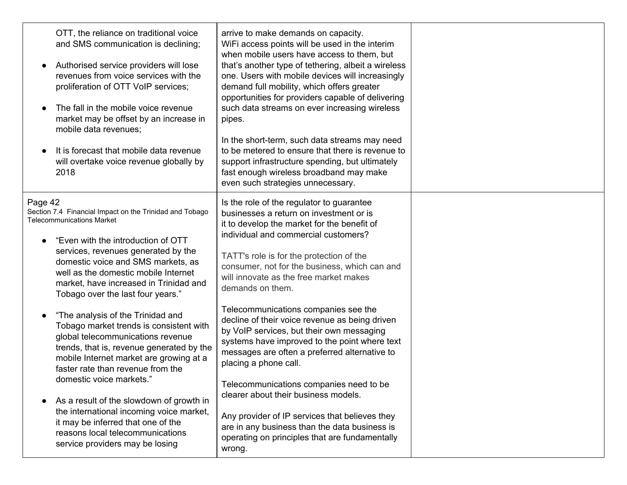| OTT, the reliance on traditional voice<br>and SMS communication is declining;<br>Authorised service providers will lose<br>revenues from voice services with the<br>proliferation of OTT VoIP services;<br>The fall in the mobile voice revenue<br>market may be offset by an increase in<br>mobile data revenues;<br>It is forecast that mobile data revenue<br>will overtake voice revenue globally by<br>2018 | arrive to make demands on capacity.<br>WiFi access points will be used in the interim<br>when mobile users have access to them, but<br>that's another type of tethering, albeit a wireless<br>one. Users with mobile devices will increasingly<br>demand full mobility, which offers greater<br>opportunities for providers capable of delivering<br>such data streams on ever increasing wireless<br>pipes.<br>In the short-term, such data streams may need<br>to be metered to ensure that there is revenue to<br>support infrastructure spending, but ultimately<br>fast enough wireless broadband may make<br>even such strategies unnecessary. |  |
|------------------------------------------------------------------------------------------------------------------------------------------------------------------------------------------------------------------------------------------------------------------------------------------------------------------------------------------------------------------------------------------------------------------|------------------------------------------------------------------------------------------------------------------------------------------------------------------------------------------------------------------------------------------------------------------------------------------------------------------------------------------------------------------------------------------------------------------------------------------------------------------------------------------------------------------------------------------------------------------------------------------------------------------------------------------------------|--|
| Page 42<br>Section 7.4 Financial Impact on the Trinidad and Tobago<br><b>Telecommunications Market</b><br>"Even with the introduction of OTT<br>services, revenues generated by the<br>domestic voice and SMS markets, as<br>well as the domestic mobile Internet<br>market, have increased in Trinidad and<br>Tobago over the last four years."                                                                 | Is the role of the regulator to guarantee<br>businesses a return on investment or is<br>it to develop the market for the benefit of<br>individual and commercial customers?<br>TATT's role is for the protection of the<br>consumer, not for the business, which can and<br>will innovate as the free market makes<br>demands on them.                                                                                                                                                                                                                                                                                                               |  |
| "The analysis of the Trinidad and<br>Tobago market trends is consistent with<br>global telecommunications revenue<br>trends, that is, revenue generated by the<br>mobile Internet market are growing at a<br>faster rate than revenue from the<br>domestic voice markets."                                                                                                                                       | Telecommunications companies see the<br>decline of their voice revenue as being driven<br>by VoIP services, but their own messaging<br>systems have improved to the point where text<br>messages are often a preferred alternative to<br>placing a phone call.<br>Telecommunications companies need to be                                                                                                                                                                                                                                                                                                                                            |  |
| As a result of the slowdown of growth in<br>the international incoming voice market,<br>it may be inferred that one of the<br>reasons local telecommunications<br>service providers may be losing                                                                                                                                                                                                                | clearer about their business models.<br>Any provider of IP services that believes they<br>are in any business than the data business is<br>operating on principles that are fundamentally<br>wrong.                                                                                                                                                                                                                                                                                                                                                                                                                                                  |  |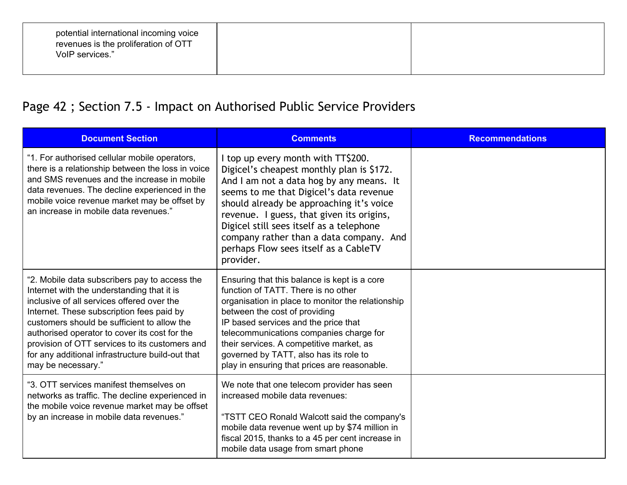| potential international incoming voice<br>revenues is the proliferation of OTT<br>VoIP services." |  |  |
|---------------------------------------------------------------------------------------------------|--|--|
|---------------------------------------------------------------------------------------------------|--|--|

## Page 42 ; Section 7.5 - Impact on Authorised Public Service Providers

| <b>Document Section</b>                                                                                                                                                                                                                                                                                                                                                                                            | <b>Comments</b>                                                                                                                                                                                                                                                                                                                                                                                              | <b>Recommendations</b> |
|--------------------------------------------------------------------------------------------------------------------------------------------------------------------------------------------------------------------------------------------------------------------------------------------------------------------------------------------------------------------------------------------------------------------|--------------------------------------------------------------------------------------------------------------------------------------------------------------------------------------------------------------------------------------------------------------------------------------------------------------------------------------------------------------------------------------------------------------|------------------------|
| "1. For authorised cellular mobile operators,<br>there is a relationship between the loss in voice<br>and SMS revenues and the increase in mobile<br>data revenues. The decline experienced in the<br>mobile voice revenue market may be offset by<br>an increase in mobile data revenues."                                                                                                                        | I top up every month with TT\$200.<br>Digicel's cheapest monthly plan is \$172.<br>And I am not a data hog by any means. It<br>seems to me that Digicel's data revenue<br>should already be approaching it's voice<br>revenue. I guess, that given its origins,<br>Digicel still sees itself as a telephone<br>company rather than a data company. And<br>perhaps Flow sees itself as a CableTV<br>provider. |                        |
| "2. Mobile data subscribers pay to access the<br>Internet with the understanding that it is<br>inclusive of all services offered over the<br>Internet. These subscription fees paid by<br>customers should be sufficient to allow the<br>authorised operator to cover its cost for the<br>provision of OTT services to its customers and<br>for any additional infrastructure build-out that<br>may be necessary." | Ensuring that this balance is kept is a core<br>function of TATT. There is no other<br>organisation in place to monitor the relationship<br>between the cost of providing<br>IP based services and the price that<br>telecommunications companies charge for<br>their services. A competitive market, as<br>governed by TATT, also has its role to<br>play in ensuring that prices are reasonable.           |                        |
| "3. OTT services manifest themselves on<br>networks as traffic. The decline experienced in<br>the mobile voice revenue market may be offset<br>by an increase in mobile data revenues."                                                                                                                                                                                                                            | We note that one telecom provider has seen<br>increased mobile data revenues:<br>"TSTT CEO Ronald Walcott said the company's<br>mobile data revenue went up by \$74 million in<br>fiscal 2015, thanks to a 45 per cent increase in<br>mobile data usage from smart phone                                                                                                                                     |                        |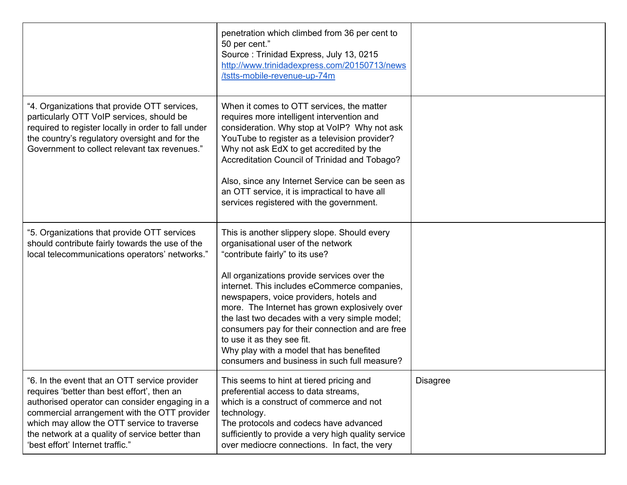|                                                                                                                                                                                                                                                                                                                                     | penetration which climbed from 36 per cent to<br>50 per cent."<br>Source: Trinidad Express, July 13, 0215<br>http://www.trinidadexpress.com/20150713/news<br>/tstts-mobile-revenue-up-74m                                                                                                                                                                                                                                                                                                                                                       |                 |
|-------------------------------------------------------------------------------------------------------------------------------------------------------------------------------------------------------------------------------------------------------------------------------------------------------------------------------------|-------------------------------------------------------------------------------------------------------------------------------------------------------------------------------------------------------------------------------------------------------------------------------------------------------------------------------------------------------------------------------------------------------------------------------------------------------------------------------------------------------------------------------------------------|-----------------|
| "4. Organizations that provide OTT services,<br>particularly OTT VoIP services, should be<br>required to register locally in order to fall under<br>the country's regulatory oversight and for the<br>Government to collect relevant tax revenues."                                                                                 | When it comes to OTT services, the matter<br>requires more intelligent intervention and<br>consideration. Why stop at VoIP? Why not ask<br>YouTube to register as a television provider?<br>Why not ask EdX to get accredited by the<br>Accreditation Council of Trinidad and Tobago?<br>Also, since any Internet Service can be seen as<br>an OTT service, it is impractical to have all<br>services registered with the government.                                                                                                           |                 |
| "5. Organizations that provide OTT services<br>should contribute fairly towards the use of the<br>local telecommunications operators' networks."                                                                                                                                                                                    | This is another slippery slope. Should every<br>organisational user of the network<br>"contribute fairly" to its use?<br>All organizations provide services over the<br>internet. This includes eCommerce companies,<br>newspapers, voice providers, hotels and<br>more. The Internet has grown explosively over<br>the last two decades with a very simple model;<br>consumers pay for their connection and are free<br>to use it as they see fit.<br>Why play with a model that has benefited<br>consumers and business in such full measure? |                 |
| 6. In the event that an OTT service provider<br>requires 'better than best effort', then an<br>authorised operator can consider engaging in a<br>commercial arrangement with the OTT provider<br>which may allow the OTT service to traverse<br>the network at a quality of service better than<br>'best effort' Internet traffic." | This seems to hint at tiered pricing and<br>preferential access to data streams,<br>which is a construct of commerce and not<br>technology.<br>The protocols and codecs have advanced<br>sufficiently to provide a very high quality service<br>over mediocre connections. In fact, the very                                                                                                                                                                                                                                                    | <b>Disagree</b> |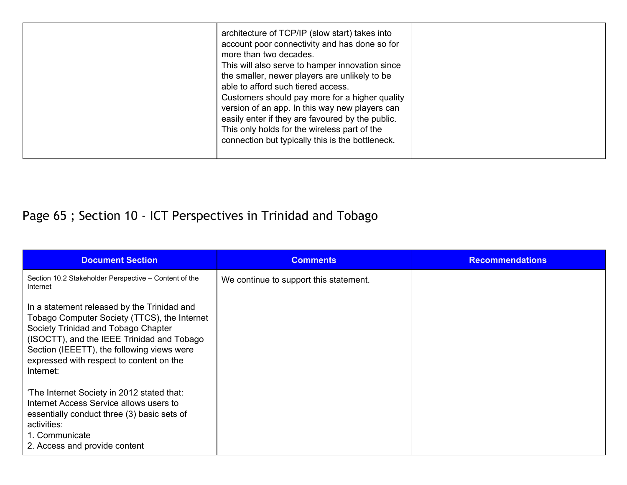|  | architecture of TCP/IP (slow start) takes into<br>account poor connectivity and has done so for<br>more than two decades.<br>This will also serve to hamper innovation since<br>the smaller, newer players are unlikely to be<br>able to afford such tiered access.<br>Customers should pay more for a higher quality<br>version of an app. In this way new players can<br>easily enter if they are favoured by the public.<br>This only holds for the wireless part of the<br>connection but typically this is the bottleneck. |  |
|--|---------------------------------------------------------------------------------------------------------------------------------------------------------------------------------------------------------------------------------------------------------------------------------------------------------------------------------------------------------------------------------------------------------------------------------------------------------------------------------------------------------------------------------|--|
|--|---------------------------------------------------------------------------------------------------------------------------------------------------------------------------------------------------------------------------------------------------------------------------------------------------------------------------------------------------------------------------------------------------------------------------------------------------------------------------------------------------------------------------------|--|

# Page 65 ; Section 10 - ICT Perspectives in Trinidad and Tobago

| <b>Document Section</b>                                                                                                                                                                                                                                                                 | <b>Comments</b>                        | <b>Recommendations</b> |
|-----------------------------------------------------------------------------------------------------------------------------------------------------------------------------------------------------------------------------------------------------------------------------------------|----------------------------------------|------------------------|
| Section 10.2 Stakeholder Perspective - Content of the<br>Internet                                                                                                                                                                                                                       | We continue to support this statement. |                        |
| In a statement released by the Trinidad and<br>Tobago Computer Society (TTCS), the Internet<br>Society Trinidad and Tobago Chapter<br>(ISOCTT), and the IEEE Trinidad and Tobago<br>Section (IEEETT), the following views were<br>expressed with respect to content on the<br>Internet: |                                        |                        |
| 'The Internet Society in 2012 stated that:<br>Internet Access Service allows users to<br>essentially conduct three (3) basic sets of<br>activities:<br>1. Communicate<br>2. Access and provide content                                                                                  |                                        |                        |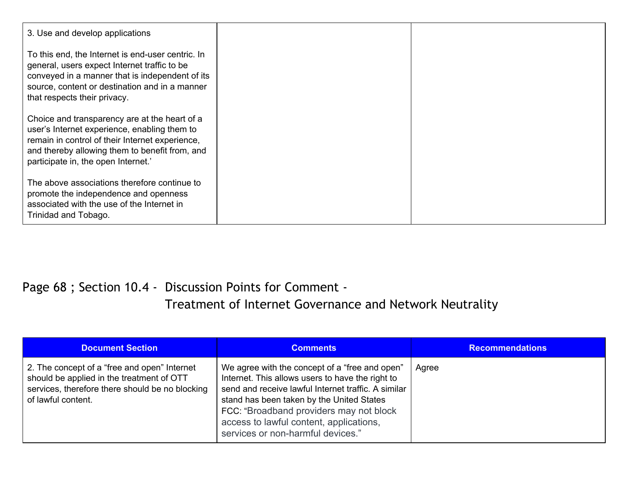| 3. Use and develop applications                                                                                                                                                                                                           |  |
|-------------------------------------------------------------------------------------------------------------------------------------------------------------------------------------------------------------------------------------------|--|
| To this end, the Internet is end-user centric. In<br>general, users expect Internet traffic to be<br>conveyed in a manner that is independent of its<br>source, content or destination and in a manner<br>that respects their privacy.    |  |
| Choice and transparency are at the heart of a<br>user's Internet experience, enabling them to<br>remain in control of their Internet experience,<br>and thereby allowing them to benefit from, and<br>participate in, the open Internet.' |  |
| The above associations therefore continue to<br>promote the independence and openness<br>associated with the use of the Internet in<br>Trinidad and Tobago.                                                                               |  |

#### Page 68 ; Section 10.4 - Discussion Points for Comment - Treatment of Internet Governance and Network Neutrality

| <b>Document Section</b>                                                                                                                                            | <b>Comments</b>                                                                                                                                                                                                                                                                                                                   | <b>Recommendations</b> |
|--------------------------------------------------------------------------------------------------------------------------------------------------------------------|-----------------------------------------------------------------------------------------------------------------------------------------------------------------------------------------------------------------------------------------------------------------------------------------------------------------------------------|------------------------|
| 2. The concept of a "free and open" Internet<br>should be applied in the treatment of OTT<br>services, therefore there should be no blocking<br>of lawful content. | We agree with the concept of a "free and open"<br>Internet. This allows users to have the right to<br>send and receive lawful Internet traffic. A similar<br>stand has been taken by the United States<br>FCC: "Broadband providers may not block<br>access to lawful content, applications,<br>services or non-harmful devices." | Agree                  |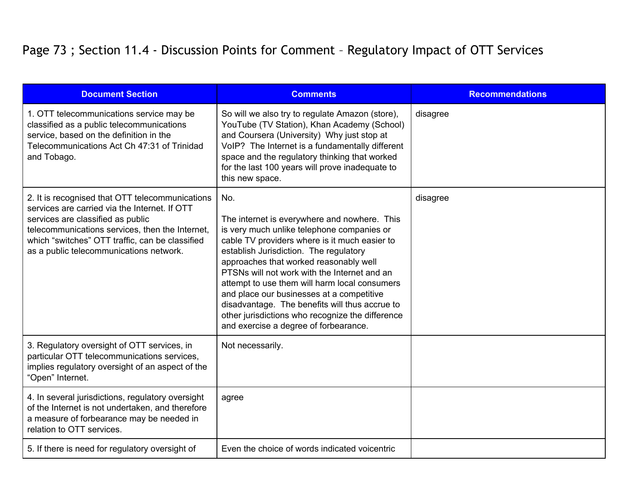### Page 73 ; Section 11.4 - Discussion Points for Comment – Regulatory Impact of OTT Services

| <b>Document Section</b>                                                                                                                                                                                                                                                                | <b>Comments</b>                                                                                                                                                                                                                                                                                                                                                                                                                                                                                                                     | <b>Recommendations</b> |
|----------------------------------------------------------------------------------------------------------------------------------------------------------------------------------------------------------------------------------------------------------------------------------------|-------------------------------------------------------------------------------------------------------------------------------------------------------------------------------------------------------------------------------------------------------------------------------------------------------------------------------------------------------------------------------------------------------------------------------------------------------------------------------------------------------------------------------------|------------------------|
| 1. OTT telecommunications service may be<br>classified as a public telecommunications<br>service, based on the definition in the<br>Telecommunications Act Ch 47:31 of Trinidad<br>and Tobago.                                                                                         | So will we also try to regulate Amazon (store),<br>YouTube (TV Station), Khan Academy (School)<br>and Coursera (University) Why just stop at<br>VoIP? The Internet is a fundamentally different<br>space and the regulatory thinking that worked<br>for the last 100 years will prove inadequate to<br>this new space.                                                                                                                                                                                                              | disagree               |
| 2. It is recognised that OTT telecommunications<br>services are carried via the Internet. If OTT<br>services are classified as public<br>telecommunications services, then the Internet,<br>which "switches" OTT traffic, can be classified<br>as a public telecommunications network. | No.<br>The internet is everywhere and nowhere. This<br>is very much unlike telephone companies or<br>cable TV providers where is it much easier to<br>establish Jurisdiction. The regulatory<br>approaches that worked reasonably well<br>PTSNs will not work with the Internet and an<br>attempt to use them will harm local consumers<br>and place our businesses at a competitive<br>disadvantage. The benefits will thus accrue to<br>other jurisdictions who recognize the difference<br>and exercise a degree of forbearance. | disagree               |
| 3. Regulatory oversight of OTT services, in<br>particular OTT telecommunications services,<br>implies regulatory oversight of an aspect of the<br>"Open" Internet.                                                                                                                     | Not necessarily.                                                                                                                                                                                                                                                                                                                                                                                                                                                                                                                    |                        |
| 4. In several jurisdictions, regulatory oversight<br>of the Internet is not undertaken, and therefore<br>a measure of forbearance may be needed in<br>relation to OTT services.                                                                                                        | agree                                                                                                                                                                                                                                                                                                                                                                                                                                                                                                                               |                        |
| 5. If there is need for regulatory oversight of                                                                                                                                                                                                                                        | Even the choice of words indicated voicentric                                                                                                                                                                                                                                                                                                                                                                                                                                                                                       |                        |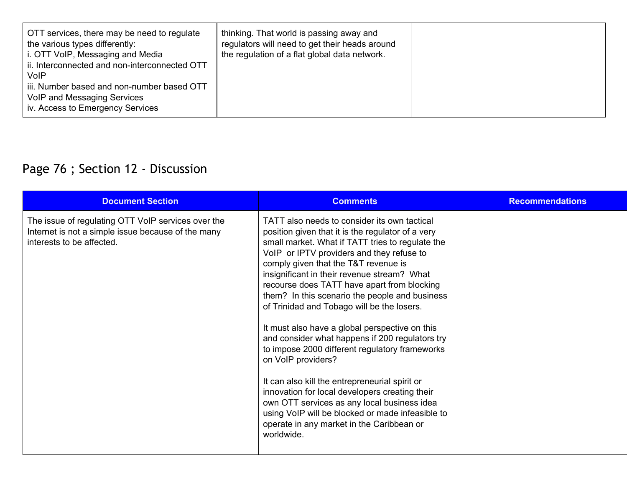| OTT services, there may be need to regulate<br>the various types differently:<br>i. OTT VoIP, Messaging and Media<br>ii. Interconnected and non-interconnected OTT<br><b>VoIP</b><br>iii. Number based and non-number based OTT<br>VoIP and Messaging Services<br>iv. Access to Emergency Services | thinking. That world is passing away and<br>regulators will need to get their heads around<br>the regulation of a flat global data network. |  |
|----------------------------------------------------------------------------------------------------------------------------------------------------------------------------------------------------------------------------------------------------------------------------------------------------|---------------------------------------------------------------------------------------------------------------------------------------------|--|
|----------------------------------------------------------------------------------------------------------------------------------------------------------------------------------------------------------------------------------------------------------------------------------------------------|---------------------------------------------------------------------------------------------------------------------------------------------|--|

# Page 76 ; Section 12 - Discussion

| <b>Document Section</b>                                                                                                               | <b>Comments</b>                                                                                                                                                                                                                                                                                                                                                                                                                                                                                                                                                                                                                                                                                                                                                                                                                                                                         | <b>Recommendations</b> |
|---------------------------------------------------------------------------------------------------------------------------------------|-----------------------------------------------------------------------------------------------------------------------------------------------------------------------------------------------------------------------------------------------------------------------------------------------------------------------------------------------------------------------------------------------------------------------------------------------------------------------------------------------------------------------------------------------------------------------------------------------------------------------------------------------------------------------------------------------------------------------------------------------------------------------------------------------------------------------------------------------------------------------------------------|------------------------|
| The issue of regulating OTT VoIP services over the<br>Internet is not a simple issue because of the many<br>interests to be affected. | TATT also needs to consider its own tactical<br>position given that it is the regulator of a very<br>small market. What if TATT tries to regulate the<br>VoIP or IPTV providers and they refuse to<br>comply given that the T&T revenue is<br>insignificant in their revenue stream? What<br>recourse does TATT have apart from blocking<br>them? In this scenario the people and business<br>of Trinidad and Tobago will be the losers.<br>It must also have a global perspective on this<br>and consider what happens if 200 regulators try<br>to impose 2000 different regulatory frameworks<br>on VoIP providers?<br>It can also kill the entrepreneurial spirit or<br>innovation for local developers creating their<br>own OTT services as any local business idea<br>using VoIP will be blocked or made infeasible to<br>operate in any market in the Caribbean or<br>worldwide. |                        |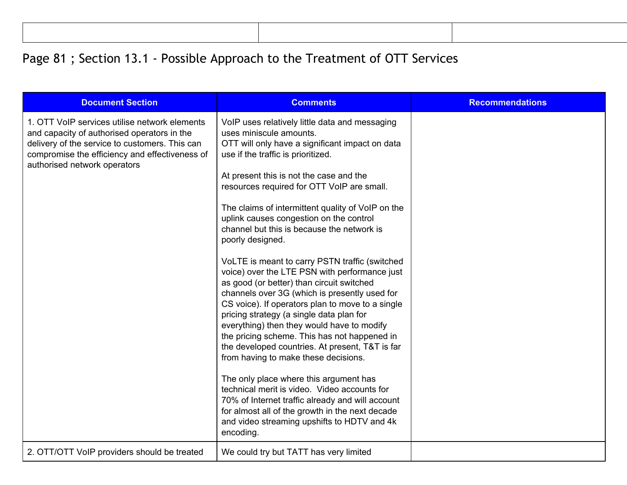## Page 81; Section 13.1 - Possible Approach to the Treatment of OTT Services

| <b>Document Section</b>                                                                                                                                                                                                          | <b>Comments</b>                                                                                                                                                                                                                                                                                                                                                                                                                                                                                                                                                                                                                                                                                                                                                                                                                                                                                                                                                                                                                                                                                                                                                                      | <b>Recommendations</b> |
|----------------------------------------------------------------------------------------------------------------------------------------------------------------------------------------------------------------------------------|--------------------------------------------------------------------------------------------------------------------------------------------------------------------------------------------------------------------------------------------------------------------------------------------------------------------------------------------------------------------------------------------------------------------------------------------------------------------------------------------------------------------------------------------------------------------------------------------------------------------------------------------------------------------------------------------------------------------------------------------------------------------------------------------------------------------------------------------------------------------------------------------------------------------------------------------------------------------------------------------------------------------------------------------------------------------------------------------------------------------------------------------------------------------------------------|------------------------|
| 1. OTT VoIP services utilise network elements<br>and capacity of authorised operators in the<br>delivery of the service to customers. This can<br>compromise the efficiency and effectiveness of<br>authorised network operators | VoIP uses relatively little data and messaging<br>uses miniscule amounts.<br>OTT will only have a significant impact on data<br>use if the traffic is prioritized.<br>At present this is not the case and the<br>resources required for OTT VoIP are small.<br>The claims of intermittent quality of VoIP on the<br>uplink causes congestion on the control<br>channel but this is because the network is<br>poorly designed.<br>VoLTE is meant to carry PSTN traffic (switched<br>voice) over the LTE PSN with performance just<br>as good (or better) than circuit switched<br>channels over 3G (which is presently used for<br>CS voice). If operators plan to move to a single<br>pricing strategy (a single data plan for<br>everything) then they would have to modify<br>the pricing scheme. This has not happened in<br>the developed countries. At present, T&T is far<br>from having to make these decisions.<br>The only place where this argument has<br>technical merit is video. Video accounts for<br>70% of Internet traffic already and will account<br>for almost all of the growth in the next decade<br>and video streaming upshifts to HDTV and 4k<br>encoding. |                        |
| 2. OTT/OTT VoIP providers should be treated                                                                                                                                                                                      | We could try but TATT has very limited                                                                                                                                                                                                                                                                                                                                                                                                                                                                                                                                                                                                                                                                                                                                                                                                                                                                                                                                                                                                                                                                                                                                               |                        |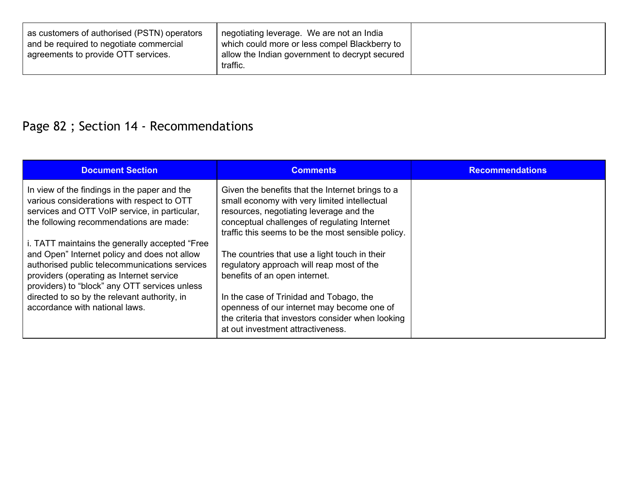| as customers of authorised (PSTN) operators | negotiating leverage. We are not an India                  |
|---------------------------------------------|------------------------------------------------------------|
| and be required to negotiate commercial     | which could more or less compel Blackberry to              |
| agreements to provide OTT services.         | allow the Indian government to decrypt secured<br>traffic. |

# Page 82 ; Section 14 - Recommendations

| <b>Document Section</b>                                                                                                                                                                                                                                                                                                                                                                                                                                                                                                  | <b>Comments</b>                                                                                                                                                                                                                                                                                                                                                                                                                                                                                                                                                     | <b>Recommendations</b> |
|--------------------------------------------------------------------------------------------------------------------------------------------------------------------------------------------------------------------------------------------------------------------------------------------------------------------------------------------------------------------------------------------------------------------------------------------------------------------------------------------------------------------------|---------------------------------------------------------------------------------------------------------------------------------------------------------------------------------------------------------------------------------------------------------------------------------------------------------------------------------------------------------------------------------------------------------------------------------------------------------------------------------------------------------------------------------------------------------------------|------------------------|
| In view of the findings in the paper and the<br>various considerations with respect to OTT<br>services and OTT VoIP service, in particular,<br>the following recommendations are made:<br>i. TATT maintains the generally accepted "Free<br>and Open" Internet policy and does not allow<br>authorised public telecommunications services<br>providers (operating as Internet service<br>providers) to "block" any OTT services unless<br>directed to so by the relevant authority, in<br>accordance with national laws. | Given the benefits that the Internet brings to a<br>small economy with very limited intellectual<br>resources, negotiating leverage and the<br>conceptual challenges of regulating Internet<br>traffic this seems to be the most sensible policy.<br>The countries that use a light touch in their<br>regulatory approach will reap most of the<br>benefits of an open internet.<br>In the case of Trinidad and Tobago, the<br>openness of our internet may become one of<br>the criteria that investors consider when looking<br>at out investment attractiveness. |                        |